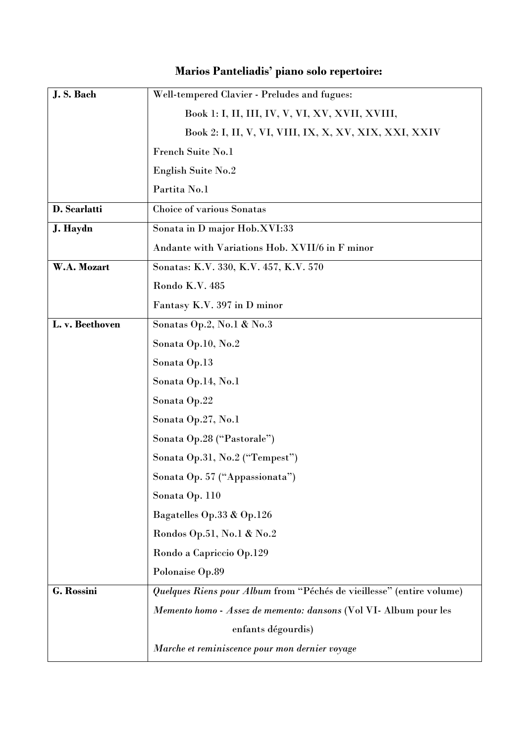| J.S. Bach       | Well-tempered Clavier - Preludes and fugues:                          |
|-----------------|-----------------------------------------------------------------------|
|                 | Book 1: I, II, III, IV, V, VI, XV, XVII, XVIII,                       |
|                 |                                                                       |
|                 | <b>French Suite No.1</b>                                              |
|                 | <b>English Suite No.2</b>                                             |
|                 | Partita No.1                                                          |
| D. Scarlatti    | <b>Choice of various Sonatas</b>                                      |
| J. Haydn        | Sonata in D major Hob.XVI:33                                          |
|                 | Andante with Variations Hob. XVII/6 in F minor                        |
| W.A. Mozart     | Sonatas: K.V. 330, K.V. 457, K.V. 570                                 |
|                 | Rondo K.V. 485                                                        |
|                 | Fantasy K.V. 397 in D minor                                           |
| L. v. Beethoven | Sonatas Op.2, No.1 & No.3                                             |
|                 | Sonata Op.10, No.2                                                    |
|                 | Sonata Op.13                                                          |
|                 | Sonata Op.14, No.1                                                    |
|                 | Sonata Op.22                                                          |
|                 | Sonata Op.27, No.1                                                    |
|                 | Sonata Op.28 ("Pastorale")                                            |
|                 | Sonata Op.31, No.2 ("Tempest")                                        |
|                 | Sonata Op. 57 ("Appassionata")                                        |
|                 | Sonata Op. 110                                                        |
|                 | Bagatelles Op.33 & Op.126                                             |
|                 | Rondos Op.51, No.1 & No.2                                             |
|                 | Rondo a Capriccio Op.129                                              |
|                 | Polonaise Op.89                                                       |
| G. Rossini      | Quelques Riens pour Album from "Péchés de vieillesse" (entire volume) |
|                 | Memento homo - Assez de memento: dansons (Vol VI- Album pour les      |
|                 | enfants dégourdis)                                                    |
|                 | Marche et reminiscence pour mon dernier voyage                        |

## **Marios Panteliadis' piano solo repertoire:**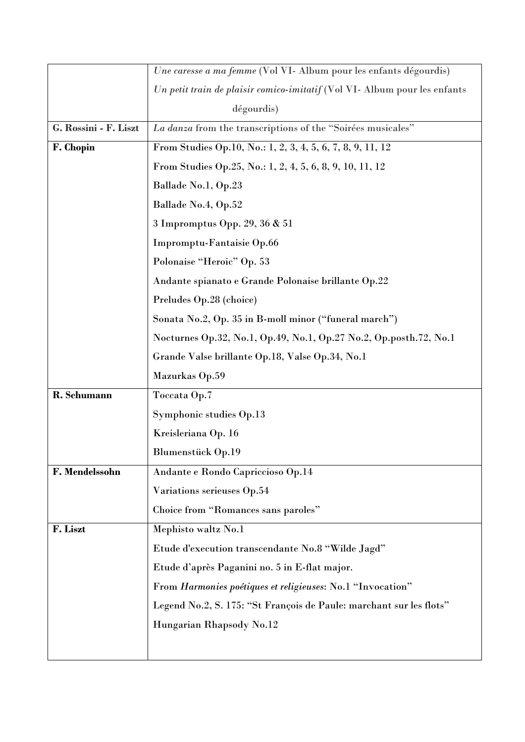|                       | Une caresse a ma femme (Vol VI- Album pour les enfants dégourdis)         |
|-----------------------|---------------------------------------------------------------------------|
|                       | Un petit train de plaisir comico-imitatif (Vol VI- Album pour les enfants |
|                       | dégourdis)                                                                |
| G. Rossini - F. Liszt | La danza from the transcriptions of the "Soirées musicales"               |
| F. Chopin             | From Studies Op.10, No.: 1, 2, 3, 4, 5, 6, 7, 8, 9, 11, 12                |
|                       | From Studies Op.25, No.: 1, 2, 4, 5, 6, 8, 9, 10, 11, 12                  |
|                       | Ballade No.1, Op.23                                                       |
|                       | Ballade No.4, Op.52                                                       |
|                       | 3 Impromptus Opp. 29, 36 & 51                                             |
|                       | Impromptu-Fantaisie Op.66                                                 |
|                       | Polonaise "Heroic" Op. 53                                                 |
|                       | Andante spianato e Grande Polonaise brillante Op.22                       |
|                       | Preludes Op.28 (choice)                                                   |
|                       | Sonata No.2, Op. 35 in B-moll minor ("funeral march")                     |
|                       | Nocturnes Op.32, No.1, Op.49, No.1, Op.27 No.2, Op.posth.72, No.1         |
|                       | Grande Valse brillante Op.18, Valse Op.34, No.1                           |
|                       | Mazurkas Op.59                                                            |
| R. Schumann           | Toccata Op.7                                                              |
|                       | Symphonic studies Op.13                                                   |
|                       | Kreisleriana Op. 16                                                       |
|                       | <b>Blumenstück Op.19</b>                                                  |
| F. Mendelssohn        | Andante e Rondo Capriccioso Op.14                                         |
|                       | Variations serieuses Op.54                                                |
|                       | Choice from "Romances sans paroles"                                       |
| F. Liszt              | Mephisto waltz No.1                                                       |
|                       | Etude d'execution transcendante No.8 "Wilde Jagd"                         |
|                       | Etude d'après Paganini no. 5 in E-flat major.                             |
|                       | From Harmonies poétiques et religieuses: No.1 "Invocation"                |
|                       | Legend No.2, S. 175: "St François de Paule: marchant sur les flots"       |
|                       | Hungarian Rhapsody No.12                                                  |
|                       |                                                                           |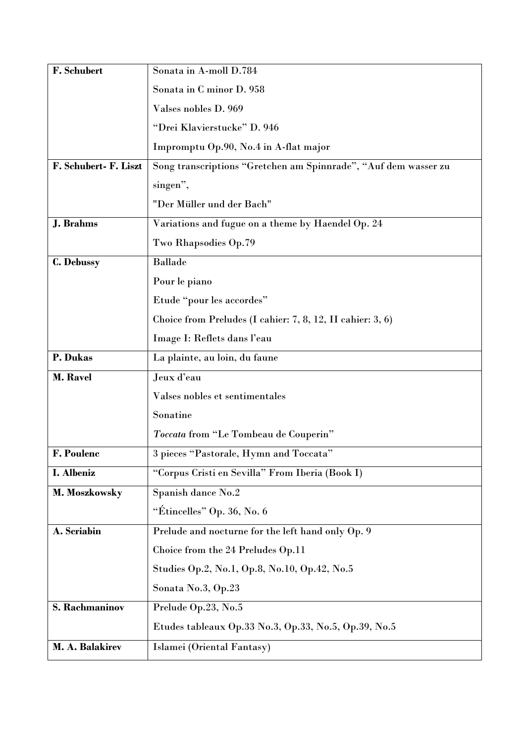| F. Schubert           | Sonata in A-moll D.784                                          |
|-----------------------|-----------------------------------------------------------------|
|                       | Sonata in C minor D. 958                                        |
|                       | Valses nobles D. 969                                            |
|                       | "Drei Klavierstucke" D. 946                                     |
|                       | Impromptu Op.90, No.4 in A-flat major                           |
| F. Schubert- F. Liszt | Song transcriptions "Gretchen am Spinnrade", "Auf dem wasser zu |
|                       | singen",                                                        |
|                       | "Der Müller und der Bach"                                       |
| <b>J.</b> Brahms      | Variations and fugue on a theme by Haendel Op. 24               |
|                       | Two Rhapsodies Op.79                                            |
| C. Debussy            | <b>Ballade</b>                                                  |
|                       | Pour le piano                                                   |
|                       | Etude "pour les accordes"                                       |
|                       | Choice from Preludes (I cahier: 7, 8, 12, II cahier: 3, 6)      |
|                       | Image I: Reflets dans l'eau                                     |
| P. Dukas              | La plainte, au loin, du faune                                   |
| <b>M. Ravel</b>       | Jeux d'eau                                                      |
|                       | Valses nobles et sentimentales                                  |
|                       | Sonatine                                                        |
|                       | Toccata from "Le Tombeau de Couperin"                           |
| <b>F. Poulenc</b>     | 3 pieces "Pastorale, Hymn and Toccata"                          |
| I. Albeniz            | "Corpus Cristi en Sevilla" From Iberia (Book I)                 |
| M. Moszkowsky         | Spanish dance No.2                                              |
|                       | "Étincelles" Op. 36, No. 6                                      |
| A. Scriabin           | Prelude and nocturne for the left hand only Op. 9               |
|                       | Choice from the 24 Preludes Op.11                               |
|                       | Studies Op.2, No.1, Op.8, No.10, Op.42, No.5                    |
|                       | Sonata No.3, Op.23                                              |
| S. Rachmaninov        | Prelude Op.23, No.5                                             |
|                       | Etudes tableaux Op.33 No.3, Op.33, No.5, Op.39, No.5            |
| M. A. Balakirev       | Islamei (Oriental Fantasy)                                      |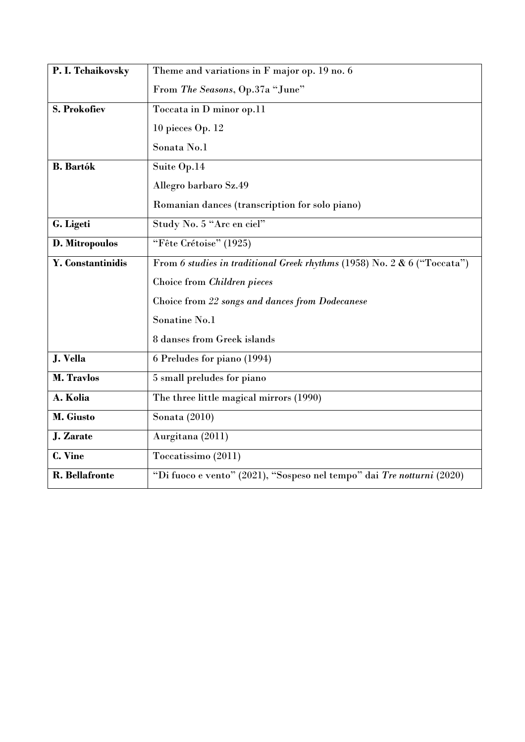| P. I. Tchaikovsky        | Theme and variations in F major op. 19 no. 6                             |
|--------------------------|--------------------------------------------------------------------------|
|                          | From The Seasons, Op.37a "June"                                          |
| <b>S. Prokofiev</b>      | Toccata in D minor op.11                                                 |
|                          | $10$ pieces Op. $12$                                                     |
|                          | Sonata No.1                                                              |
| <b>B.</b> Bartók         | Suite Op.14                                                              |
|                          | Allegro barbaro Sz.49                                                    |
|                          | Romanian dances (transcription for solo piano)                           |
| G. Ligeti                | Study No. 5 "Arc en ciel"                                                |
| D. Mitropoulos           | "Fête Crétoise" (1925)                                                   |
| <b>Y.</b> Constantinidis | From 6 studies in traditional Greek rhythms (1958) No. 2 & 6 ("Toccata") |
|                          | Choice from Children pieces                                              |
|                          | Choice from 22 songs and dances from Dodecanese                          |
|                          | Sonatine No.1                                                            |
|                          | 8 danses from Greek islands                                              |
| J. Vella                 | 6 Preludes for piano (1994)                                              |
| <b>M. Travlos</b>        | 5 small preludes for piano                                               |
| A. Kolia                 | The three little magical mirrors (1990)                                  |
| M. Giusto                | Sonata $(2010)$                                                          |
| J. Zarate                | Aurgitana (2011)                                                         |
| C. Vine                  | Toccatissimo (2011)                                                      |
| <b>R.</b> Bellafronte    | "Di fuoco e vento" (2021), "Sospeso nel tempo" dai Tre notturni (2020)   |